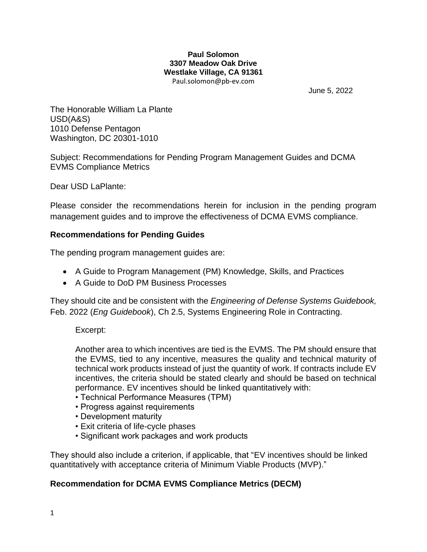## **Paul Solomon 3307 Meadow Oak Drive Westlake Village, CA 91361** Paul.solomon@pb-ev.com

June 5, 2022

The Honorable William La Plante USD(A&S) 1010 Defense Pentagon Washington, DC 20301-1010

Subject: Recommendations for Pending Program Management Guides and DCMA EVMS Compliance Metrics

Dear USD LaPlante:

Please consider the recommendations herein for inclusion in the pending program management guides and to improve the effectiveness of DCMA EVMS compliance.

## **Recommendations for Pending Guides**

The pending program management guides are:

- A Guide to Program Management (PM) Knowledge, Skills, and Practices
- A Guide to DoD PM Business Processes

They should cite and be consistent with the *Engineering of Defense Systems Guidebook,* Feb. 2022 (*Eng Guidebook*), Ch 2.5, Systems Engineering Role in Contracting.

Excerpt:

Another area to which incentives are tied is the EVMS. The PM should ensure that the EVMS, tied to any incentive, measures the quality and technical maturity of technical work products instead of just the quantity of work. If contracts include EV incentives, the criteria should be stated clearly and should be based on technical performance. EV incentives should be linked quantitatively with:

- Technical Performance Measures (TPM)
- Progress against requirements
- Development maturity
- Exit criteria of life-cycle phases
- Significant work packages and work products

They should also include a criterion, if applicable, that "EV incentives should be linked quantitatively with acceptance criteria of Minimum Viable Products (MVP)."

## **Recommendation for DCMA EVMS Compliance Metrics (DECM)**